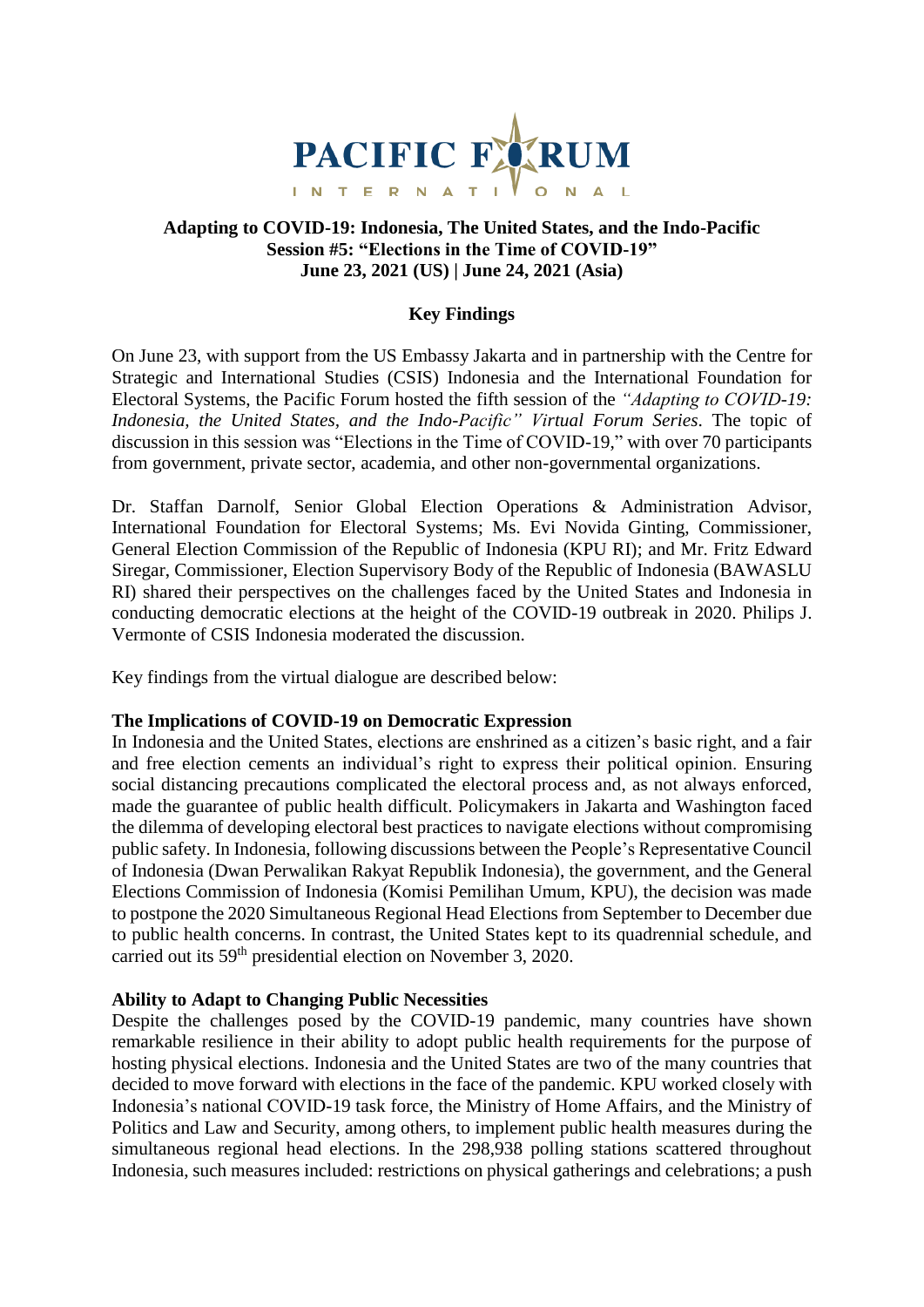

# **Adapting to COVID-19: Indonesia, The United States, and the Indo-Pacific Session #5: "Elections in the Time of COVID-19" June 23, 2021 (US) | June 24, 2021 (Asia)**

# **Key Findings**

On June 23, with support from the US Embassy Jakarta and in partnership with the Centre for Strategic and International Studies (CSIS) Indonesia and the International Foundation for Electoral Systems, the Pacific Forum hosted the fifth session of the *"Adapting to COVID-19: Indonesia, the United States, and the Indo-Pacific" Virtual Forum Series*. The topic of discussion in this session was "Elections in the Time of COVID-19," with over 70 participants from government, private sector, academia, and other non-governmental organizations.

Dr. Staffan Darnolf, Senior Global Election Operations & Administration Advisor, International Foundation for Electoral Systems; Ms. Evi Novida Ginting, Commissioner, General Election Commission of the Republic of Indonesia (KPU RI); and Mr. Fritz Edward Siregar, Commissioner, Election Supervisory Body of the Republic of Indonesia (BAWASLU RI) shared their perspectives on the challenges faced by the United States and Indonesia in conducting democratic elections at the height of the COVID-19 outbreak in 2020. Philips J. Vermonte of CSIS Indonesia moderated the discussion.

Key findings from the virtual dialogue are described below:

### **The Implications of COVID-19 on Democratic Expression**

In Indonesia and the United States, elections are enshrined as a citizen's basic right, and a fair and free election cements an individual's right to express their political opinion. Ensuring social distancing precautions complicated the electoral process and, as not always enforced, made the guarantee of public health difficult. Policymakers in Jakarta and Washington faced the dilemma of developing electoral best practices to navigate elections without compromising public safety. In Indonesia, following discussions between the People's Representative Council of Indonesia (Dwan Perwalikan Rakyat Republik Indonesia), the government, and the General Elections Commission of Indonesia (Komisi Pemilihan Umum, KPU), the decision was made to postpone the 2020 Simultaneous Regional Head Elections from September to December due to public health concerns. In contrast, the United States kept to its quadrennial schedule, and carried out its 59th presidential election on November 3, 2020.

### **Ability to Adapt to Changing Public Necessities**

Despite the challenges posed by the COVID-19 pandemic, many countries have shown remarkable resilience in their ability to adopt public health requirements for the purpose of hosting physical elections. Indonesia and the United States are two of the many countries that decided to move forward with elections in the face of the pandemic. KPU worked closely with Indonesia's national COVID-19 task force, the Ministry of Home Affairs, and the Ministry of Politics and Law and Security, among others, to implement public health measures during the simultaneous regional head elections. In the 298,938 polling stations scattered throughout Indonesia, such measures included: restrictions on physical gatherings and celebrations; a push